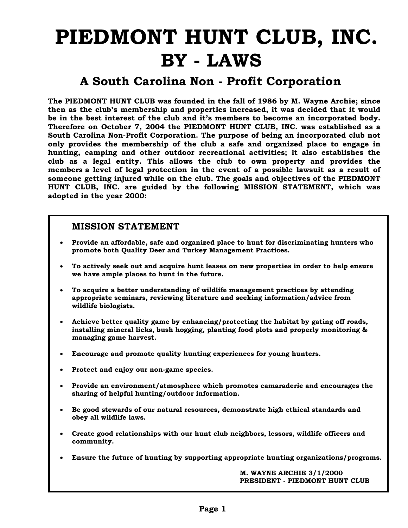## **PIEDMONT HUNT CLUB, INC. BY - LAWS**

## **A South Carolina Non - Profit Corporation**

**The PIEDMONT HUNT CLUB was founded in the fall of 1986 by M. Wayne Archie; since then as the club's membership and properties increased, it was decided that it would be in the best interest of the club and it's members to become an incorporated body. Therefore on October 7, 2004 the PIEDMONT HUNT CLUB, INC. was established as a South Carolina Non-Profit Corporation. The purpose of being an incorporated club not only provides the membership of the club a safe and organized place to engage in hunting, camping and other outdoor recreational activities; it also establishes the club as a legal entity. This allows the club to own property and provides the members a level of legal protection in the event of a possible lawsuit as a result of someone getting injured while on the club. The goals and objectives of the PIEDMONT HUNT CLUB, INC. are guided by the following MISSION STATEMENT, which was adopted in the year 2000:** 

## **MISSION STATEMENT**

- **Provide an affordable, safe and organized place to hunt for discriminating hunters who promote both Quality Deer and Turkey Management Practices.**
- **To actively seek out and acquire hunt leases on new properties in order to help ensure we have ample places to hunt in the future.**
- **To acquire a better understanding of wildlife management practices by attending appropriate seminars, reviewing literature and seeking information/advice from wildlife biologists.**
- **Achieve better quality game by enhancing/protecting the habitat by gating off roads, installing mineral licks, bush hogging, planting food plots and properly monitoring & managing game harvest.**
- **Encourage and promote quality hunting experiences for young hunters.**
- **Protect and enjoy our non-game species.**
- **Provide an environment/atmosphere which promotes camaraderie and encourages the sharing of helpful hunting/outdoor information.**
- **Be good stewards of our natural resources, demonstrate high ethical standards and obey all wildlife laws.**
- **Create good relationships with our hunt club neighbors, lessors, wildlife officers and community.**
- **Ensure the future of hunting by supporting appropriate hunting organizations/programs.**

**M. WAYNE ARCHIE 3/1/2000 PRESIDENT - PIEDMONT HUNT CLUB**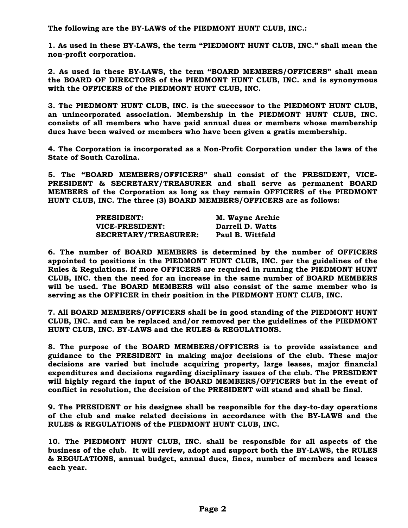**The following are the BY-LAWS of the PIEDMONT HUNT CLUB, INC.:** 

**1. As used in these BY-LAWS, the term "PIEDMONT HUNT CLUB, INC." shall mean the non-profit corporation.** 

**2. As used in these BY-LAWS, the term "BOARD MEMBERS/OFFICERS" shall mean the BOARD OF DIRECTORS of the PIEDMONT HUNT CLUB, INC. and is synonymous with the OFFICERS of the PIEDMONT HUNT CLUB, INC.** 

**3. The PIEDMONT HUNT CLUB, INC. is the successor to the PIEDMONT HUNT CLUB, an unincorporated association. Membership in the PIEDMONT HUNT CLUB, INC. consists of all members who have paid annual dues or members whose membership dues have been waived or members who have been given a gratis membership.** 

**4. The Corporation is incorporated as a Non-Profit Corporation under the laws of the State of South Carolina.** 

**5. The "BOARD MEMBERS/OFFICERS" shall consist of the PRESIDENT, VICE-PRESIDENT & SECRETARY/TREASURER and shall serve as permanent BOARD MEMBERS of the Corporation as long as they remain OFFICERS of the PIEDMONT HUNT CLUB, INC. The three (3) BOARD MEMBERS/OFFICERS are as follows:** 

| <b>PRESIDENT:</b>           | <b>M. Wayne Archie</b> |
|-----------------------------|------------------------|
| <b>VICE-PRESIDENT:</b>      | Darrell D. Watts       |
| <b>SECRETARY/TREASURER:</b> | Paul B. Wittfeld       |

**6. The number of BOARD MEMBERS is determined by the number of OFFICERS appointed to positions in the PIEDMONT HUNT CLUB, INC. per the guidelines of the Rules & Regulations. If more OFFICERS are required in running the PIEDMONT HUNT CLUB, INC. then the need for an increase in the same number of BOARD MEMBERS will be used. The BOARD MEMBERS will also consist of the same member who is serving as the OFFICER in their position in the PIEDMONT HUNT CLUB, INC.** 

**7. All BOARD MEMBERS/OFFICERS shall be in good standing of the PIEDMONT HUNT CLUB, INC. and can be replaced and/or removed per the guidelines of the PIEDMONT HUNT CLUB, INC. BY-LAWS and the RULES & REGULATIONS.** 

**8. The purpose of the BOARD MEMBERS/OFFICERS is to provide assistance and guidance to the PRESIDENT in making major decisions of the club. These major decisions are varied but include acquiring property, large leases, major financial expenditures and decisions regarding disciplinary issues of the club. The PRESIDENT will highly regard the input of the BOARD MEMBERS/OFFICERS but in the event of conflict in resolution, the decision of the PRESIDENT will stand and shall be final.** 

**9. The PRESIDENT or his designee shall be responsible for the day-to-day operations of the club and make related decisions in accordance with the BY-LAWS and the RULES & REGULATIONS of the PIEDMONT HUNT CLUB, INC.** 

**10. The PIEDMONT HUNT CLUB, INC. shall be responsible for all aspects of the business of the club. It will review, adopt and support both the BY-LAWS, the RULES & REGULATIONS, annual budget, annual dues, fines, number of members and leases each year.**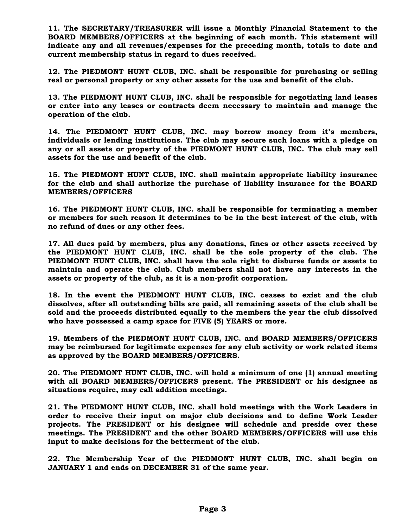**11. The SECRETARY/TREASURER will issue a Monthly Financial Statement to the BOARD MEMBERS/OFFICERS at the beginning of each month. This statement will indicate any and all revenues/expenses for the preceding month, totals to date and current membership status in regard to dues received.** 

**12. The PIEDMONT HUNT CLUB, INC. shall be responsible for purchasing or selling real or personal property or any other assets for the use and benefit of the club.** 

**13. The PIEDMONT HUNT CLUB, INC. shall be responsible for negotiating land leases or enter into any leases or contracts deem necessary to maintain and manage the operation of the club.** 

**14. The PIEDMONT HUNT CLUB, INC. may borrow money from it's members, individuals or lending institutions. The club may secure such loans with a pledge on any or all assets or property of the PIEDMONT HUNT CLUB, INC. The club may sell assets for the use and benefit of the club.** 

**15. The PIEDMONT HUNT CLUB, INC. shall maintain appropriate liability insurance for the club and shall authorize the purchase of liability insurance for the BOARD MEMBERS/OFFICERS** 

**16. The PIEDMONT HUNT CLUB, INC. shall be responsible for terminating a member or members for such reason it determines to be in the best interest of the club, with no refund of dues or any other fees.** 

**17. All dues paid by members, plus any donations, fines or other assets received by the PIEDMONT HUNT CLUB, INC. shall be the sole property of the club. The PIEDMONT HUNT CLUB, INC. shall have the sole right to disburse funds or assets to maintain and operate the club. Club members shall not have any interests in the assets or property of the club, as it is a non-profit corporation.** 

**18. In the event the PIEDMONT HUNT CLUB, INC. ceases to exist and the club dissolves, after all outstanding bills are paid, all remaining assets of the club shall be sold and the proceeds distributed equally to the members the year the club dissolved who have possessed a camp space for FIVE (5) YEARS or more.** 

**19. Members of the PIEDMONT HUNT CLUB, INC. and BOARD MEMBERS/OFFICERS may be reimbursed for legitimate expenses for any club activity or work related items as approved by the BOARD MEMBERS/OFFICERS.** 

**20. The PIEDMONT HUNT CLUB, INC. will hold a minimum of one (1) annual meeting with all BOARD MEMBERS/OFFICERS present. The PRESIDENT or his designee as situations require, may call addition meetings.** 

**21. The PIEDMONT HUNT CLUB, INC. shall hold meetings with the Work Leaders in order to receive their input on major club decisions and to define Work Leader projects. The PRESIDENT or his designee will schedule and preside over these meetings. The PRESIDENT and the other BOARD MEMBERS/OFFICERS will use this input to make decisions for the betterment of the club.** 

**22. The Membership Year of the PIEDMONT HUNT CLUB, INC. shall begin on JANUARY 1 and ends on DECEMBER 31 of the same year.**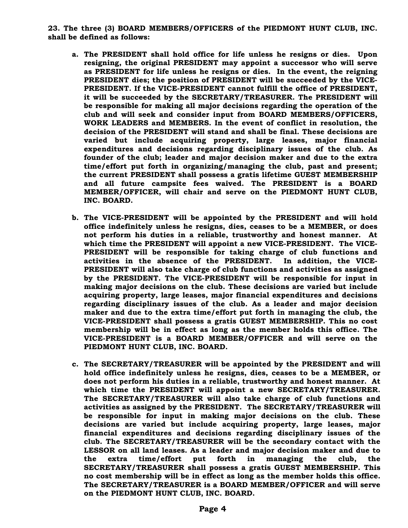**23. The three (3) BOARD MEMBERS/OFFICERS of the PIEDMONT HUNT CLUB, INC. shall be defined as follows:** 

- **a. The PRESIDENT shall hold office for life unless he resigns or dies. Upon resigning, the original PRESIDENT may appoint a successor who will serve as PRESIDENT for life unless he resigns or dies. In the event, the reigning PRESIDENT dies; the position of PRESIDENT will be succeeded by the VICE-PRESIDENT. If the VICE-PRESIDENT cannot fulfill the office of PRESIDENT, it will be succeeded by the SECRETARY/TREASURER. The PRESIDENT will be responsible for making all major decisions regarding the operation of the club and will seek and consider input from BOARD MEMBERS/OFFICERS, WORK LEADERS and MEMBERS. In the event of conflict in resolution, the decision of the PRESIDENT will stand and shall be final. These decisions are varied but include acquiring property, large leases, major financial expenditures and decisions regarding disciplinary issues of the club. As founder of the club; leader and major decision maker and due to the extra time/effort put forth in organizing/managing the club, past and present; the current PRESIDENT shall possess a gratis lifetime GUEST MEMBERSHIP and all future campsite fees waived. The PRESIDENT is a BOARD MEMBER/OFFICER, will chair and serve on the PIEDMONT HUNT CLUB, INC. BOARD.**
- **b. The VICE-PRESIDENT will be appointed by the PRESIDENT and will hold office indefinitely unless he resigns, dies, ceases to be a MEMBER, or does not perform his duties in a reliable, trustworthy and honest manner. At which time the PRESIDENT will appoint a new VICE-PRESIDENT. The VICE-PRESIDENT will be responsible for taking charge of club functions and activities in the absence of the PRESIDENT. In addition, the VICE-PRESIDENT will also take charge of club functions and activities as assigned by the PRESIDENT. The VICE-PRESIDENT will be responsible for input in making major decisions on the club. These decisions are varied but include acquiring property, large leases, major financial expenditures and decisions regarding disciplinary issues of the club. As a leader and major decision maker and due to the extra time/effort put forth in managing the club, the VICE-PRESIDENT shall possess a gratis GUEST MEMBERSHIP. This no cost membership will be in effect as long as the member holds this office. The VICE-PRESIDENT is a BOARD MEMBER/OFFICER and will serve on the PIEDMONT HUNT CLUB, INC. BOARD.**
- **c. The SECRETARY/TREASURER will be appointed by the PRESIDENT and will hold office indefinitely unless he resigns, dies, ceases to be a MEMBER, or does not perform his duties in a reliable, trustworthy and honest manner. At which time the PRESIDENT will appoint a new SECRETARY/TREASURER. The SECRETARY/TREASURER will also take charge of club functions and activities as assigned by the PRESIDENT. The SECRETARY/TREASURER will be responsible for input in making major decisions on the club. These decisions are varied but include acquiring property, large leases, major financial expenditures and decisions regarding disciplinary issues of the club. The SECRETARY/TREASURER will be the secondary contact with the LESSOR on all land leases. As a leader and major decision maker and due to the extra time/effort put forth in managing the club, the SECRETARY/TREASURER shall possess a gratis GUEST MEMBERSHIP. This no cost membership will be in effect as long as the member holds this office. The SECRETARY/TREASURER is a BOARD MEMBER/OFFICER and will serve on the PIEDMONT HUNT CLUB, INC. BOARD.**